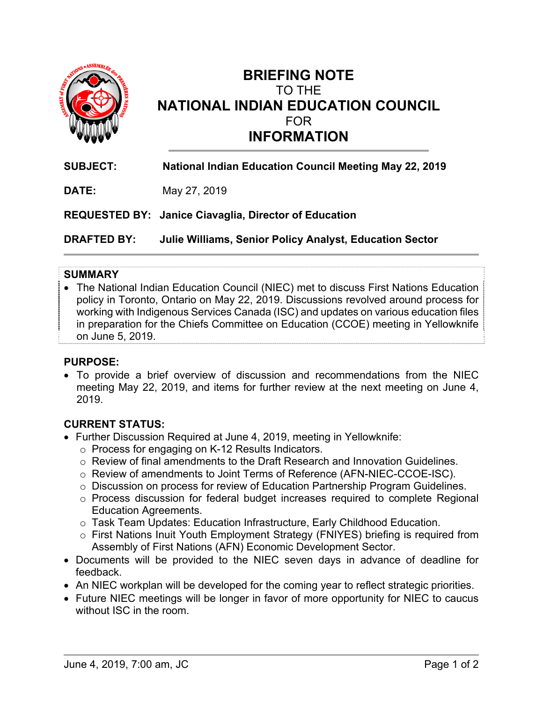

# **BRIEFING NOTE**  TO THE **NATIONAL INDIAN EDUCATION COUNCIL**  FOR **INFORMATION**

**SUBJECT: National Indian Education Council Meeting May 22, 2019 DATE:** May 27, 2019 **REQUESTED BY: Janice Ciavaglia, Director of Education DRAFTED BY: Julie Williams, Senior Policy Analyst, Education Sector**

#### **SUMMARY**

 The National Indian Education Council (NIEC) met to discuss First Nations Education policy in Toronto, Ontario on May 22, 2019. Discussions revolved around process for working with Indigenous Services Canada (ISC) and updates on various education files in preparation for the Chiefs Committee on Education (CCOE) meeting in Yellowknife on June 5, 2019.

#### **PURPOSE:**

 To provide a brief overview of discussion and recommendations from the NIEC meeting May 22, 2019, and items for further review at the next meeting on June 4, 2019.

### **CURRENT STATUS:**

- Further Discussion Required at June 4, 2019, meeting in Yellowknife:
	- o Process for engaging on K-12 Results Indicators.
	- o Review of final amendments to the Draft Research and Innovation Guidelines.
	- o Review of amendments to Joint Terms of Reference (AFN-NIEC-CCOE-ISC).
	- o Discussion on process for review of Education Partnership Program Guidelines.
	- o Process discussion for federal budget increases required to complete Regional Education Agreements.
	- o Task Team Updates: Education Infrastructure, Early Childhood Education.
	- o First Nations Inuit Youth Employment Strategy (FNIYES) briefing is required from Assembly of First Nations (AFN) Economic Development Sector.
- Documents will be provided to the NIEC seven days in advance of deadline for feedback.
- An NIEC workplan will be developed for the coming year to reflect strategic priorities.
- Future NIEC meetings will be longer in favor of more opportunity for NIEC to caucus without ISC in the room.